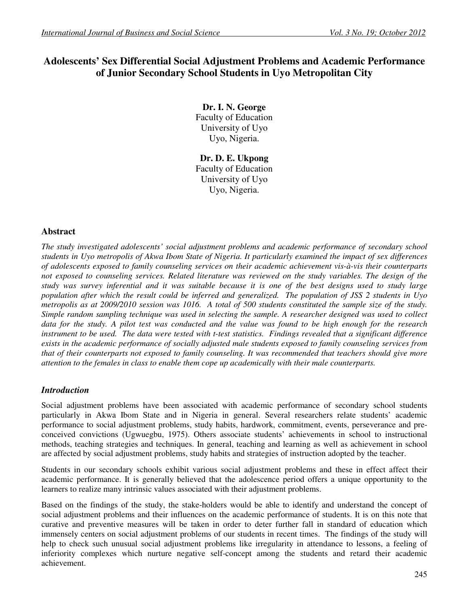# **Adolescents' Sex Differential Social Adjustment Problems and Academic Performance of Junior Secondary School Students in Uyo Metropolitan City**

**Dr. I. N. George**  Faculty of Education University of Uyo Uyo, Nigeria.

**Dr. D. E. Ukpong**  Faculty of Education University of Uyo Uyo, Nigeria.

## **Abstract**

*The study investigated adolescents' social adjustment problems and academic performance of secondary school students in Uyo metropolis of Akwa Ibom State of Nigeria. It particularly examined the impact of sex differences of adolescents exposed to family counseling services on their academic achievement vis-à-vis their counterparts not exposed to counseling services. Related literature was reviewed on the study variables. The design of the study was survey inferential and it was suitable because it is one of the best designs used to study large population after which the result could be inferred and generalized. The population of JSS 2 students in Uyo metropolis as at 2009/2010 session was 1016. A total of 500 students constituted the sample size of the study. Simple random sampling technique was used in selecting the sample. A researcher designed was used to collect data for the study. A pilot test was conducted and the value was found to be high enough for the research instrument to be used. The data were tested with t-test statistics. Findings revealed that a significant difference exists in the academic performance of socially adjusted male students exposed to family counseling services from that of their counterparts not exposed to family counseling. It was recommended that teachers should give more attention to the females in class to enable them cope up academically with their male counterparts.* 

# *Introduction*

Social adjustment problems have been associated with academic performance of secondary school students particularly in Akwa Ibom State and in Nigeria in general. Several researchers relate students' academic performance to social adjustment problems, study habits, hardwork, commitment, events, perseverance and preconceived convictions (Ugwuegbu, 1975). Others associate students' achievements in school to instructional methods, teaching strategies and techniques. In general, teaching and learning as well as achievement in school are affected by social adjustment problems, study habits and strategies of instruction adopted by the teacher.

Students in our secondary schools exhibit various social adjustment problems and these in effect affect their academic performance. It is generally believed that the adolescence period offers a unique opportunity to the learners to realize many intrinsic values associated with their adjustment problems.

Based on the findings of the study, the stake-holders would be able to identify and understand the concept of social adjustment problems and their influences on the academic performance of students. It is on this note that curative and preventive measures will be taken in order to deter further fall in standard of education which immensely centers on social adjustment problems of our students in recent times. The findings of the study will help to check such unusual social adjustment problems like irregularity in attendance to lessons, a feeling of inferiority complexes which nurture negative self-concept among the students and retard their academic achievement.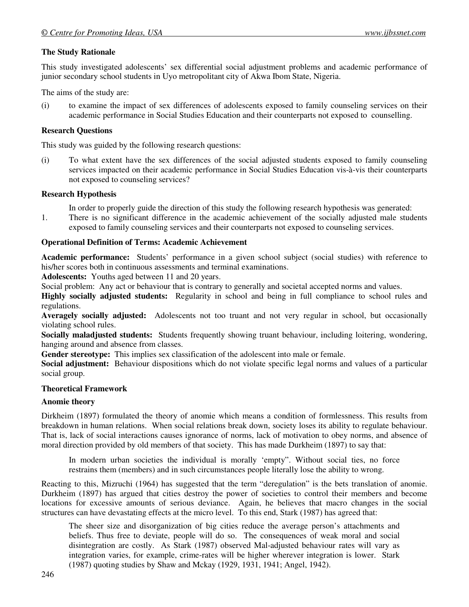### **The Study Rationale**

This study investigated adolescents' sex differential social adjustment problems and academic performance of junior secondary school students in Uyo metropolitant city of Akwa Ibom State, Nigeria.

The aims of the study are:

(i) to examine the impact of sex differences of adolescents exposed to family counseling services on their academic performance in Social Studies Education and their counterparts not exposed to counselling.

### **Research Questions**

This study was guided by the following research questions:

(i) To what extent have the sex differences of the social adjusted students exposed to family counseling services impacted on their academic performance in Social Studies Education vis-à-vis their counterparts not exposed to counseling services?

#### **Research Hypothesis**

In order to properly guide the direction of this study the following research hypothesis was generated:

1. There is no significant difference in the academic achievement of the socially adjusted male students exposed to family counseling services and their counterparts not exposed to counseling services.

### **Operational Definition of Terms: Academic Achievement**

**Academic performance:** Students' performance in a given school subject (social studies) with reference to his/her scores both in continuous assessments and terminal examinations.

**Adolescents:** Youths aged between 11 and 20 years.

Social problem: Any act or behaviour that is contrary to generally and societal accepted norms and values.

**Highly socially adjusted students:** Regularity in school and being in full compliance to school rules and regulations.

**Averagely socially adjusted:** Adolescents not too truant and not very regular in school, but occasionally violating school rules.

**Socially maladjusted students:** Students frequently showing truant behaviour, including loitering, wondering, hanging around and absence from classes.

**Gender stereotype:** This implies sex classification of the adolescent into male or female.

**Social adjustment:** Behaviour dispositions which do not violate specific legal norms and values of a particular social group.

#### **Theoretical Framework**

#### **Anomie theory**

Dirkheim (1897) formulated the theory of anomie which means a condition of formlessness. This results from breakdown in human relations. When social relations break down, society loses its ability to regulate behaviour. That is, lack of social interactions causes ignorance of norms, lack of motivation to obey norms, and absence of moral direction provided by old members of that society. This has made Durkheim (1897) to say that:

In modern urban societies the individual is morally 'empty". Without social ties, no force restrains them (members) and in such circumstances people literally lose the ability to wrong.

Reacting to this, Mizruchi (1964) has suggested that the term "deregulation" is the bets translation of anomie. Durkheim (1897) has argued that cities destroy the power of societies to control their members and become locations for excessive amounts of serious deviance. Again, he believes that macro changes in the social structures can have devastating effects at the micro level. To this end, Stark (1987) has agreed that:

The sheer size and disorganization of big cities reduce the average person's attachments and beliefs. Thus free to deviate, people will do so. The consequences of weak moral and social disintegration are costly. As Stark (1987) observed Mal-adjusted behaviour rates will vary as integration varies, for example, crime-rates will be higher wherever integration is lower. Stark (1987) quoting studies by Shaw and Mckay (1929, 1931, 1941; Angel, 1942).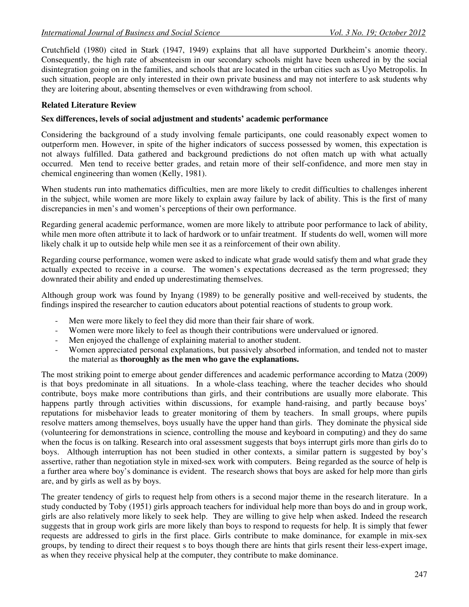Crutchfield (1980) cited in Stark (1947, 1949) explains that all have supported Durkheim's anomie theory. Consequently, the high rate of absenteeism in our secondary schools might have been ushered in by the social disintegration going on in the families, and schools that are located in the urban cities such as Uyo Metropolis. In such situation, people are only interested in their own private business and may not interfere to ask students why they are loitering about, absenting themselves or even withdrawing from school.

### **Related Literature Review**

#### **Sex differences, levels of social adjustment and students' academic performance**

Considering the background of a study involving female participants, one could reasonably expect women to outperform men. However, in spite of the higher indicators of success possessed by women, this expectation is not always fulfilled. Data gathered and background predictions do not often match up with what actually occurred. Men tend to receive better grades, and retain more of their self-confidence, and more men stay in chemical engineering than women (Kelly, 1981).

When students run into mathematics difficulties, men are more likely to credit difficulties to challenges inherent in the subject, while women are more likely to explain away failure by lack of ability. This is the first of many discrepancies in men's and women's perceptions of their own performance.

Regarding general academic performance, women are more likely to attribute poor performance to lack of ability, while men more often attribute it to lack of hardwork or to unfair treatment. If students do well, women will more likely chalk it up to outside help while men see it as a reinforcement of their own ability.

Regarding course performance, women were asked to indicate what grade would satisfy them and what grade they actually expected to receive in a course. The women's expectations decreased as the term progressed; they downrated their ability and ended up underestimating themselves.

Although group work was found by Inyang (1989) to be generally positive and well-received by students, the findings inspired the researcher to caution educators about potential reactions of students to group work.

- Men were more likely to feel they did more than their fair share of work.
- Women were more likely to feel as though their contributions were undervalued or ignored.
- Men enjoyed the challenge of explaining material to another student.
- Women appreciated personal explanations, but passively absorbed information, and tended not to master the material as **thoroughly as the men who gave the explanations.**

The most striking point to emerge about gender differences and academic performance according to Matza (2009) is that boys predominate in all situations. In a whole-class teaching, where the teacher decides who should contribute, boys make more contributions than girls, and their contributions are usually more elaborate. This happens partly through activities within discussions, for example hand-raising, and partly because boys' reputations for misbehavior leads to greater monitoring of them by teachers. In small groups, where pupils resolve matters among themselves, boys usually have the upper hand than girls. They dominate the physical side (volunteering for demonstrations in science, controlling the mouse and keyboard in computing) and they do same when the focus is on talking. Research into oral assessment suggests that boys interrupt girls more than girls do to boys. Although interruption has not been studied in other contexts, a similar pattern is suggested by boy's assertive, rather than negotiation style in mixed-sex work with computers. Being regarded as the source of help is a further area where boy's dominance is evident. The research shows that boys are asked for help more than girls are, and by girls as well as by boys.

The greater tendency of girls to request help from others is a second major theme in the research literature. In a study conducted by Toby (1951) girls approach teachers for individual help more than boys do and in group work, girls are also relatively more likely to seek help. They are willing to give help when asked. Indeed the research suggests that in group work girls are more likely than boys to respond to requests for help. It is simply that fewer requests are addressed to girls in the first place. Girls contribute to make dominance, for example in mix-sex groups, by tending to direct their request s to boys though there are hints that girls resent their less-expert image, as when they receive physical help at the computer, they contribute to make dominance.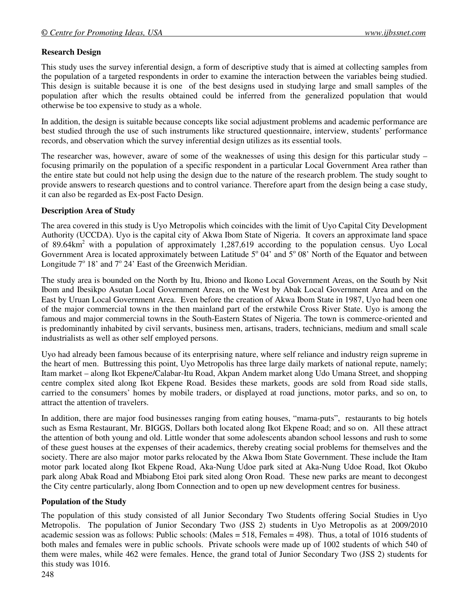### **Research Design**

This study uses the survey inferential design, a form of descriptive study that is aimed at collecting samples from the population of a targeted respondents in order to examine the interaction between the variables being studied. This design is suitable because it is one of the best designs used in studying large and small samples of the population after which the results obtained could be inferred from the generalized population that would otherwise be too expensive to study as a whole.

In addition, the design is suitable because concepts like social adjustment problems and academic performance are best studied through the use of such instruments like structured questionnaire, interview, students' performance records, and observation which the survey inferential design utilizes as its essential tools.

The researcher was, however, aware of some of the weaknesses of using this design for this particular study – focusing primarily on the population of a specific respondent in a particular Local Government Area rather than the entire state but could not help using the design due to the nature of the research problem. The study sought to provide answers to research questions and to control variance. Therefore apart from the design being a case study, it can also be regarded as Ex-post Facto Design.

### **Description Area of Study**

The area covered in this study is Uyo Metropolis which coincides with the limit of Uyo Capital City Development Authority (UCCDA). Uyo is the capital city of Akwa Ibom State of Nigeria. It covers an approximate land space of 89.64km<sup>2</sup> with a population of approximately 1,287,619 according to the population census. Uyo Local Government Area is located approximately between Latitude  $5^{\circ}$  04' and  $5^{\circ}$  08' North of the Equator and between Longitude  $7^{\circ}$  18' and  $7^{\circ}$  24' East of the Greenwich Meridian.

The study area is bounded on the North by Itu, Ibiono and Ikono Local Government Areas, on the South by Nsit Ibom and Ibesikpo Asutan Local Government Areas, on the West by Abak Local Government Area and on the East by Uruan Local Government Area. Even before the creation of Akwa Ibom State in 1987, Uyo had been one of the major commercial towns in the then mainland part of the erstwhile Cross River State. Uyo is among the famous and major commercial towns in the South-Eastern States of Nigeria. The town is commerce-oriented and is predominantly inhabited by civil servants, business men, artisans, traders, technicians, medium and small scale industrialists as well as other self employed persons.

Uyo had already been famous because of its enterprising nature, where self reliance and industry reign supreme in the heart of men. Buttressing this point, Uyo Metropolis has three large daily markets of national repute, namely; Itam market – along Ikot Ekpene/Calabar-Itu Road, Akpan Andem market along Udo Umana Street, and shopping centre complex sited along Ikot Ekpene Road. Besides these markets, goods are sold from Road side stalls, carried to the consumers' homes by mobile traders, or displayed at road junctions, motor parks, and so on, to attract the attention of travelers.

In addition, there are major food businesses ranging from eating houses, "mama-puts", restaurants to big hotels such as Esma Restaurant, Mr. BIGGS, Dollars both located along Ikot Ekpene Road; and so on. All these attract the attention of both young and old. Little wonder that some adolescents abandon school lessons and rush to some of these guest houses at the expenses of their academics, thereby creating social problems for themselves and the society. There are also major motor parks relocated by the Akwa Ibom State Government. These include the Itam motor park located along Ikot Ekpene Road, Aka-Nung Udoe park sited at Aka-Nung Udoe Road, Ikot Okubo park along Abak Road and Mbiabong Etoi park sited along Oron Road. These new parks are meant to decongest the City centre particularly, along Ibom Connection and to open up new development centres for business.

# **Population of the Study**

The population of this study consisted of all Junior Secondary Two Students offering Social Studies in Uyo Metropolis. The population of Junior Secondary Two (JSS 2) students in Uyo Metropolis as at 2009/2010 academic session was as follows: Public schools: (Males = 518, Females = 498). Thus, a total of 1016 students of both males and females were in public schools. Private schools were made up of 1002 students of which 540 of them were males, while 462 were females. Hence, the grand total of Junior Secondary Two (JSS 2) students for this study was 1016.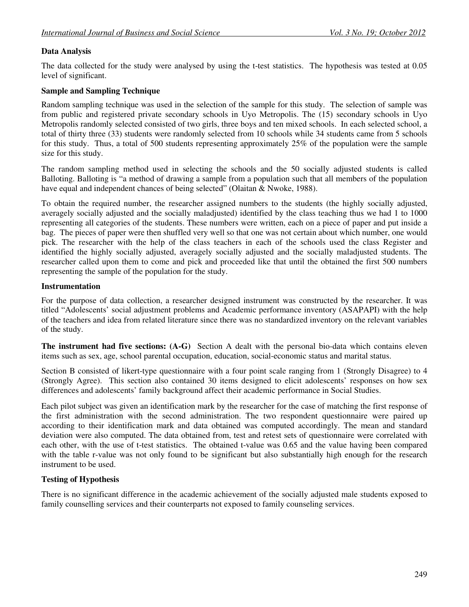### **Data Analysis**

The data collected for the study were analysed by using the t-test statistics. The hypothesis was tested at 0.05 level of significant.

### **Sample and Sampling Technique**

Random sampling technique was used in the selection of the sample for this study. The selection of sample was from public and registered private secondary schools in Uyo Metropolis. The (15) secondary schools in Uyo Metropolis randomly selected consisted of two girls, three boys and ten mixed schools. In each selected school, a total of thirty three (33) students were randomly selected from 10 schools while 34 students came from 5 schools for this study. Thus, a total of 500 students representing approximately 25% of the population were the sample size for this study.

The random sampling method used in selecting the schools and the 50 socially adjusted students is called Balloting. Balloting is "a method of drawing a sample from a population such that all members of the population have equal and independent chances of being selected" (Olaitan & Nwoke, 1988).

To obtain the required number, the researcher assigned numbers to the students (the highly socially adjusted, averagely socially adjusted and the socially maladjusted) identified by the class teaching thus we had 1 to 1000 representing all categories of the students. These numbers were written, each on a piece of paper and put inside a bag. The pieces of paper were then shuffled very well so that one was not certain about which number, one would pick. The researcher with the help of the class teachers in each of the schools used the class Register and identified the highly socially adjusted, averagely socially adjusted and the socially maladjusted students. The researcher called upon them to come and pick and proceeded like that until the obtained the first 500 numbers representing the sample of the population for the study.

#### **Instrumentation**

For the purpose of data collection, a researcher designed instrument was constructed by the researcher. It was titled "Adolescents' social adjustment problems and Academic performance inventory (ASAPAPI) with the help of the teachers and idea from related literature since there was no standardized inventory on the relevant variables of the study.

**The instrument had five sections: (A-G)** Section A dealt with the personal bio-data which contains eleven items such as sex, age, school parental occupation, education, social-economic status and marital status.

Section B consisted of likert-type questionnaire with a four point scale ranging from 1 (Strongly Disagree) to 4 (Strongly Agree). This section also contained 30 items designed to elicit adolescents' responses on how sex differences and adolescents' family background affect their academic performance in Social Studies.

Each pilot subject was given an identification mark by the researcher for the case of matching the first response of the first administration with the second administration. The two respondent questionnaire were paired up according to their identification mark and data obtained was computed accordingly. The mean and standard deviation were also computed. The data obtained from, test and retest sets of questionnaire were correlated with each other, with the use of t-test statistics. The obtained t-value was 0.65 and the value having been compared with the table r-value was not only found to be significant but also substantially high enough for the research instrument to be used.

### **Testing of Hypothesis**

There is no significant difference in the academic achievement of the socially adjusted male students exposed to family counselling services and their counterparts not exposed to family counseling services.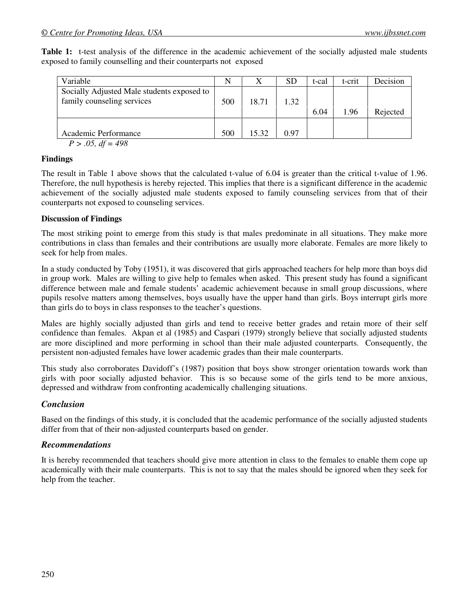**Table 1:** t-test analysis of the difference in the academic achievement of the socially adjusted male students exposed to family counselling and their counterparts not exposed

| Variable                                                                 | N   |       | SD   | t-cal | t-crit | Decision |
|--------------------------------------------------------------------------|-----|-------|------|-------|--------|----------|
| Socially Adjusted Male students exposed to<br>family counseling services | 500 | 18.71 | 1.32 | 6.04  | 1.96   | Rejected |
| Academic Performance<br>$P > .05$ , $df = 498$                           | 500 | 15.32 | 0.97 |       |        |          |

### **Findings**

The result in Table 1 above shows that the calculated t-value of 6.04 is greater than the critical t-value of 1.96. Therefore, the null hypothesis is hereby rejected. This implies that there is a significant difference in the academic achievement of the socially adjusted male students exposed to family counseling services from that of their counterparts not exposed to counseling services.

### **Discussion of Findings**

The most striking point to emerge from this study is that males predominate in all situations. They make more contributions in class than females and their contributions are usually more elaborate. Females are more likely to seek for help from males.

In a study conducted by Toby (1951), it was discovered that girls approached teachers for help more than boys did in group work. Males are willing to give help to females when asked. This present study has found a significant difference between male and female students' academic achievement because in small group discussions, where pupils resolve matters among themselves, boys usually have the upper hand than girls. Boys interrupt girls more than girls do to boys in class responses to the teacher's questions.

Males are highly socially adjusted than girls and tend to receive better grades and retain more of their self confidence than females. Akpan et al (1985) and Caspari (1979) strongly believe that socially adjusted students are more disciplined and more performing in school than their male adjusted counterparts. Consequently, the persistent non-adjusted females have lower academic grades than their male counterparts.

This study also corroborates Davidoff's (1987) position that boys show stronger orientation towards work than girls with poor socially adjusted behavior. This is so because some of the girls tend to be more anxious, depressed and withdraw from confronting academically challenging situations.

### *Conclusion*

Based on the findings of this study, it is concluded that the academic performance of the socially adjusted students differ from that of their non-adjusted counterparts based on gender.

### *Recommendations*

It is hereby recommended that teachers should give more attention in class to the females to enable them cope up academically with their male counterparts. This is not to say that the males should be ignored when they seek for help from the teacher.